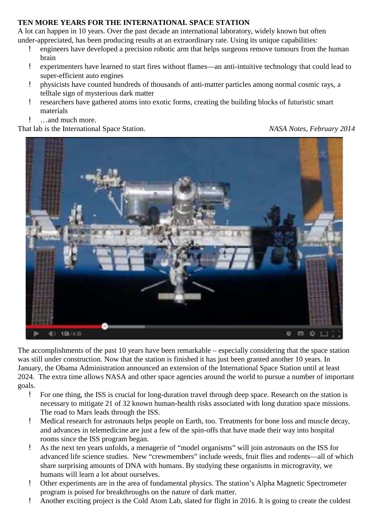## **TEN MORE YEARS FOR THE INTERNATIONAL SPACE STATION**

A lot can happen in 10 years. Over the past decade an international laboratory, widely known but often under-appreciated, has been producing results at an extraordinary rate. Using its unique capabilities:

- ! engineers have developed a precision robotic arm that helps surgeons remove tumours from the human brain
- ! experimenters have learned to start fires without flames—an anti-intuitive technology that could lead to super-efficient auto engines
- ! physicists have counted hundreds of thousands of anti-matter particles among normal cosmic rays, a telltale sign of mysterious dark matter
- ! researchers have gathered atoms into exotic forms, creating the building blocks of futuristic smart materials
- ! …and much more.

That lab is the International Space Station. *NASA Notes, February 2014*



The accomplishments of the past 10 years have been remarkable – especially considering that the space station was still under construction. Now that the station is finished it has just been granted another 10 years. In January, the Obama Administration announced an extension of the International Space Station until at least 2024. The extra time allows NASA and other space agencies around the world to pursue a number of important goals.

- ! For one thing, the ISS is crucial for long-duration travel through deep space. Research on the station is necessary to mitigate 21 of 32 known human-health risks associated with long duration space missions. The road to Mars leads through the ISS.
- ! Medical research for astronauts helps people on Earth, too. Treatments for bone loss and muscle decay, and advances in telemedicine are just a few of the spin-offs that have made their way into hospital rooms since the ISS program began.
- ! As the next ten years unfolds, a menagerie of "model organisms" will join astronauts on the ISS for advanced life science studies. New "crewmembers" include weeds, fruit flies and rodents—all of which share surprising amounts of DNA with humans. By studying these organisms in microgravity, we humans will learn a lot about ourselves.
- ! Other experiments are in the area of fundamental physics. The station's Alpha Magnetic Spectrometer program is poised for breakthroughs on the nature of dark matter.
- ! Another exciting project is the Cold Atom Lab, slated for flight in 2016. It is going to create the coldest